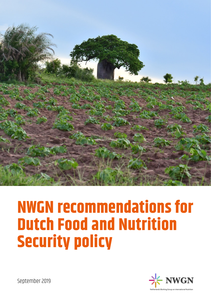

# **NWGN recommendations for Dutch Food and Nutrition Security policy**



September 2019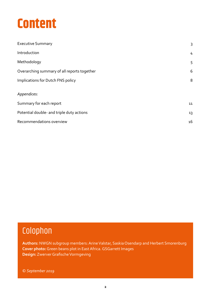### **Content**

| <b>Executive Summary</b>                    | 3  |
|---------------------------------------------|----|
| Introduction                                | 4  |
| Methodology                                 | 5  |
| Overarching summary of all reports together | 6  |
| Implications for Dutch FNS policy           | 8  |
| Appendices:                                 |    |
| Summary for each report                     | 11 |
| Potential double- and triple duty actions   | 13 |
| Recommendations overview                    | 16 |

### Colophon

**Authors:** NWGN subgroup members: Arine Valstar, Saskia Osendarp and Herbert Smorenburg **Cover photo:** Green beans plot in East Africa. GSGarrett Images **Design:** Zwerver Grafische Vormgeving

© *September 2019*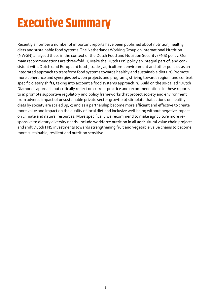### **Executive Summary**

Recently a number a number of important reports have been published about nutrition, healthy diets and sustainable food systems. The Netherlands Working Group on international Nutrition (NWGN) analysed these in the context of the Dutch Food and Nutrition Security (FNS) policy. Our main recommendations are three-fold: 1) Make the Dutch FNS policy an integral part of, and consistent with, Dutch (and European) food-, trade-, agriculture-, environment and other policies as an integrated approach to transform food systems towards healthy and sustainable diets. 2) Promote more coherence and synergies between projects and programs, striving towards region- and context specific dietary shifts, taking into account a food systems approach. 3) Build on the so-called "Dutch Diamond" approach but critically reflect on current practice and recommendations in these reports to a) promote supportive regulatory and policy frameworks that protect society and environment from adverse impact of unsustainable private sector growth; b) stimulate that actions on healthy diets by society are scaled up; c) and as a partnership become more efficient and effective to create more value and impact on the quality of local diet and inclusive well-being without negative impact on climate and natural resources. More specifically we recommend to make agriculture more responsive to dietary diversity needs, include workforce nutrition in all agricultural value chain projects and shift Dutch FNS investments towards strengthening fruit and vegetable value chains to become more sustainable, resilient and nutrition sensitive.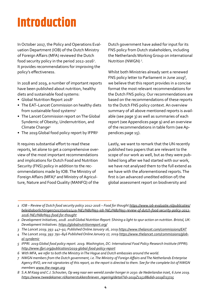## **Introduction**

In October 2017, the Policy and Operations Evaluation Department (IOB) of the Dutch Ministry of Foreign Affairs (MFA) reviewed the Dutch food security policy in the period 2012-2016<sup>1</sup>. It provides recommendations for improving the policy's effectiveness.

In 2018 and 2019, a number of important reports have been published about nutrition, healthy diets and sustainable food systems:

- Global Nutrition Report 2018<sup>2</sup>
- The EAT–Lancet Commission on healthy diets from sustainable food systems<sup>3</sup>
- The Lancet Commission report on The Global Syndemic of Obesity, Undernutrition, and Climate Change4
- The 2019 Global food policy report by IFPRI<sup>5</sup>

It requires substantial effort to read these reports, let alone to get a comprehensive overview of the most important recommendations and implications for Dutch Food and Nutrition Security (FNS) policy in addition to the recommendations made by IOB. The Ministry of Foreign Affairs (MFA)<sup>6</sup> and Ministry of Agriculture, Nature and Food Quality (MANFQ) of the

*---------------------------------------------------------------------------------------------------------------------------------------------------*

Dutch government have asked for input for its FNS policy from Dutch stakeholders, including the Netherlands Working Group on international Nutrition (NWGN) 7 .

Whilst both Ministries already sent a renewed FNS policy letter to Parliament in June 2019<sup>8</sup>, we believe that this report provides in a concise format the most relevant recommendations for the Dutch FNS policy. Our recommendations are based on the recommendations of these reports to the Dutch FNS policy context. An overview summary of all above mentioned reports is available (see page 3) as well as summaries of each report (see Appendices page 9) and an overview of the recommendations in table form (see Appendices page 15).

Lastly, we want to remark that the UN recently published two papers that are relevant to the scope of our work as well, but as they were published long after we had started with our work, we have not analysed them to the full extend as we have with the aforementioned reports. The first is (an advanced unedited edition of) the global assessment report on biodiversity and

- *3 The Lancet 2019; 393: 447–92; Published Online January 16, 2019 <https://www.thelancet.com/commissions/EAT>*
- *4 The Lancet 2019; 393: 791–846 Published Online January 27, 2019 [https://www.thelancet.com/commissions/glob](https://www.thelancet.com/commissions/global-syndemic)[al-syndemic](https://www.thelancet.com/commissions/global-syndemic)*
- *5 IFPRI. 2019 Global food policy report. 2019. Washington, DC: International Food Policy Research Institute (IFPRI). <http://www.ifpri.org/publication/2019-global-food-policy-report>*
- *6 With MFA, we refer to both the Ministry in The Hague and Dutch embassies around the world.*
- *7 NWGN members from the Dutch government, i.e. The Ministry of Foreign Affairs and The Netherlands Enterprise Agency RVO, are not signatories of this report, as the report is directed to them. See for the complete list of NWGN members [www.the-nwgn.org](http://www.the-nwgn.org)*
- *8 S.A.M Kaag and C.J. Schouten, Op weg naar een wereld zonder honger in 2030: de Nederlandse inzet, 6 June 2019. [https://www.tweedekamer.nl/kamerstukken/brieven\\_regering/detail?id=2019Z11528&did=2019D23725](https://www.tweedekamer.nl/kamerstukken/brieven_regering/detail?id=2019Z11528&did=2019D23725)*

*<sup>1</sup> IOB – Review of Dutch food security policy 2012-2016 – Food for thought [https://www.iob-evaluatie.nl/publicaties/](https://www.iob-evaluatie.nl/publicaties/beleidsdoorlichtingen/2017/10/01/419-%E2%80%93-iob-%E2%80%93-review-of-dutch-food-security-policy-2012-2016-%E2%80%93-food-for-thought) [beleidsdoorlichtingen/2017/10/01/419-%E2%80%93-iob-%E2%80%93-review-of-dutch-food-security-policy-2012-](https://www.iob-evaluatie.nl/publicaties/beleidsdoorlichtingen/2017/10/01/419-%E2%80%93-iob-%E2%80%93-review-of-dutch-food-security-policy-2012-2016-%E2%80%93-food-for-thought) [2016-%E2%80%93-food-for-thought](https://www.iob-evaluatie.nl/publicaties/beleidsdoorlichtingen/2017/10/01/419-%E2%80%93-iob-%E2%80%93-review-of-dutch-food-security-policy-2012-2016-%E2%80%93-food-for-thought)*

*<sup>2</sup> Development Initiatives, 2018. 2018 Global Nutrition Report: Shining a light to spur action on nutrition. Bristol, UK: Development Initiatives.<https://globalnutritionreport.org/>*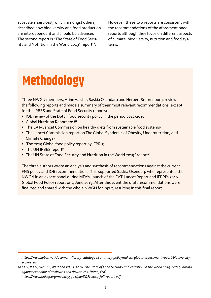ecosystem services<sup>9</sup>, which, amongst others, described how biodiversity and food production are interdependent and should be advanced. The second report is "The State of Food Security and Nutrition in the World 2019" report<sup>10</sup>.

However, these two reports are consistent with the recommendations of the aforementioned reports although they focus on different aspects of climate, biodiversity, nutrition and food systems.

# **Methodology**

Three NWGN members, Arine Valstar, Saskia Osendarp and Herbert Smorenburg, reviewed the following reports and made a summary of their most relevant recommendations (except for the IPBES and State of Food Security reports).

- IOB review of the Dutch food security policy in the period 2012-2016<sup>1</sup>
- Global Nutrition Report 2018<sup>2</sup>
- The EAT-Lancet Commission on healthy diets from sustainable food systems<sup>3</sup>
- The Lancet Commission report on The Global Syndemic of Obesity, Undernutrition, and Climate Change4
- The 2019 Global food policy report by IFPRI5

*---------------------------------------------------------------------------------------------------------------------------------------------------*

- The UN IPBES report<sup>9</sup>
- The UN State of Food Security and Nutrition in the World 2019" report<sup>10</sup>

The three authors wrote an analysis and synthesis of recommendations against the current FNS policy and IOB recommendations. This supported Saskia Osendarp who represented the NWGN in an expert panel during MFA's Launch of the EAT-Lancet Report and IFPRI's 2019 Global Food Policy report on 4 June 2019. After this event the draft recommendations were finalized and shared with the whole NWGN for input, resulting in this final report.

*<sup>9</sup> [https://www.ipbes.net/document-library-catalogue/summary-policymakers-global-assessment-report-biodiversity](https://www.ipbes.net/document-library-catalogue/summary-policymakers-global-assessment-report-biodiversity-ecosystem)[ecosystem](https://www.ipbes.net/document-library-catalogue/summary-policymakers-global-assessment-report-biodiversity-ecosystem)*

*<sup>10</sup> FAO, IFAD, UNICEF, WFP and WHO. 2019. The State of Food Security and Nutrition in the World 2019. Safeguarding against economic slowdowns and downturns. Rome, FAO. <https://www.unicef.org/media/55921/file/SOFI-2019-full-report.pdf>*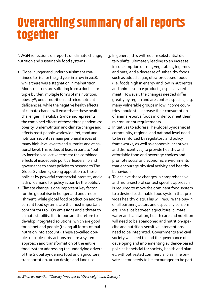### **Overarching summary of all reports together**

NWGN reflections on reports on climate change, nutrition and sustainable food systems.

- 1. Global hunger and undernourishment continued to rise for the 3rd year in a row in 2018, while there was a stagnation in malnutrition. More countries are suffering from a double- or triple burden: multiple forms of malnutrition: obesity<sup>11</sup>, under-nutrition and micronutrient deficiencies, while the negative health effects of climate change will exacerbate these health challenges. The Global Syndemic represents the combined effects of these three pandemics: obesity, undernutrition and climate change and affects most people worldwide. Yet, food and nutrition security remain peripheral issues at many high-level events and summits and at national level. This is due, at least in part, to "policy inertia: a collective term for the combined effects of inadequate political leadership and governance to enact policies to respond to The Global Syndemic, strong opposition to those policies by powerful commercial interests, and a lack of demand for policy action by the public".
- 2. Climate change is one important key factor for the global rise in hunger and undernourishment, while global food production and the current food systems are the most important contributors to CO2 emissions and a threat to climate stability. It is important therefore to develop integrated solutions, which are good for planet and people (taking all forms of malnutrition into account). These so-called double- or triple-duty actions require a systems approach and transformation of the entire food system addressing the underlying drivers of the Global Syndemic: food and agriculture, transportation, urban design and land use.
- 3. In general, this will require substantial dietary shifts, ultimately leading to an increase in consumption of fruit, vegetables, legumes and nuts, and a decrease of unhealthy foods such as added sugar, ultra-processed foods (i.e. foods high in energy and low in nutrients) and animal source products, especially red meat. However, the changes needed differ greatly by region and are context-specific, e.g. many vulnerable groups in low income countries should still increase their consumption of animal-source foods in order to meet their micronutrient requirements.
- 4. Initiatives to address The Global Syndemic at community, regional and national level need to be reinforced by regulatory and policy frameworks, as well as economic incentives and disincentives, to provide healthy and affordable food and beverage choices and promote social and economic environments that encourage physical activity and healthy behaviours.
- 5. To achieve these changes, a comprehensive and multi-sectoral context specific approach is required to move the dominant food system to a desired sustainable food system that provides healthy diets. This will require the buy-in of all partners, actors and especially consumers. The silos between agriculture, climate, water and sanitation, health care and nutrition will need to be abandoned and nutrition-specific and nutrition-sensitive interventions need to be integrated. Governments and civil society will need to lead the governance of developing and implementing evidence-based policies beneficial for society, health and planet, without vested commercial bias. The private sector needs to be encouraged to be part

*<sup>11</sup> When we mention "Obesity" we refer to "Overweight and Obesity".*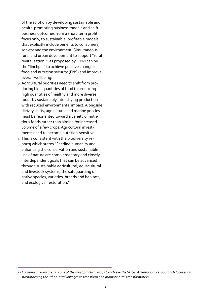of the solution by developing sustainable and health-promoting business models and shift business outcomes from a short-term profit focus only, to sustainable, profitable models that explicitly include benefits to consumers, society and the environment. Simultaneous rural and urban development to support "rural revitalization<sup>12"</sup> as proposed by IFPRI can be the "linchpin" to achieve positive change in food and nutrition security (FNS) and improve overall wellbeing.

- 6.Agricultural priorities need to shift from producing high quantities of food to producing high quantities of healthy and more diverse foods by sustainably intensifying production with reduced environmental impact. Alongside dietary shifts, agricultural and marine policies must be reoriented toward a variety of nutritious foods rather than aiming for increased volume of a few crops. Agricultural investments need to become nutrition-sensitive.
- 7. This is consistent with the biodiversity report9 which states "Feeding humanity and enhancing the conservation and sustainable use of nature are complementary and closely interdependent goals that can be advanced through sustainable agricultural, aquacultural and livestock systems, the safeguarding of native species, varieties, breeds and habitats, and ecological restoration."

*<sup>12</sup> Focusing on rural areas is one of the most practical ways to achieve the SDGs. A 'rurbanomics' approach focuses on strengthening the urban-rural linkages to transform and promote rural transformation.*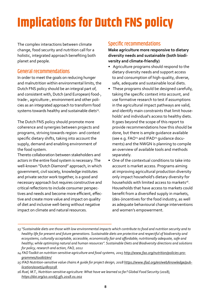# **Implications for Dutch FNS policy**

The complex interactions between climate change, food security and nutrition call for a holistic, integrated approach benefiting both planet and people.

#### General recommendations

In order to meet the goals on reducing hunger and malnutrition within environmental limits, the Dutch FNS policy should be an integral part of, and consistent with, Dutch (and European) food-, trade-, agriculture-, environment and other policies as an integrated approach to transform food systems towards healthy and sustainable diets<sup>13</sup>.

The Dutch FNS policy should promote more coherence and synergies between projects and programs, striving towards region- and context specific dietary shifts, taking into account the supply, demand and enabling environment of the food system.

Thereto collaboration between stakeholders and actors in the entire food system is necessary. The well-known "Dutch Diamond" approach, in which government, civil society, knowledge institutes and private sector work together, is a good and necessary approach but requires constructive and critical reflections to include consumer perspectives and needs and become more efficient, effective and create more value and impact on quality of diet and inclusive well-being without negative impact on climate and natural resources.

#### Specific recommendations

**Make agriculture more responsive to dietary diversity needs and sustainable (both biodiversity and climate-friendly)**

- Agriculture programs should respond to the dietary diversity needs and support access to and consumption of high-quality, diverse, safe, adequate and sustainable local diets.
- These programs should be designed carefully, taking the specific context into account, and use formative research to test if assumptions in the agricultural impact pathways are valid, and identify main constraints that limit households' and individual's access to healthy diets. It goes beyond the scope of this report to provide recommendations how this should be done, but there is ample guidance available (see e.g. FAO<sup>14</sup> and IFAD<sup>15</sup> guidance documents) and the NWGN is planning to compile an overview of available tools and methods separately.
- One of the contextual conditions to take into account is market access. Programs aiming at improving agricultural production diversity only impact household's dietary diversity for households with limited access to markets<sup>16</sup>. Households that have access to markets could benefit from a diversified supply in markets, (des-)incentives for the food industry, as well as adequate behavioural change interventions and women's empowerment.

*<sup>---------------------------------------------------------------------------------------------------------------------------------------------------</sup> 13 "Sustainable diets are those with low environmental impacts which contribute to food and nutrition security and to healthy life for present and future generations. Sustainable diets are protective and respectful of biodiversity and ecosystems, culturally acceptable, accessible, economically fair and affordable; nutritionally adequate, safe and healthy; while optimizing natural and human resources". Sustainable Diets and Biodiversity directions and solutions for policy, research and action, FAO, 2012*

*<sup>14</sup> FAO Toolkit on nutrition-sensitive agriculture and food systems, 2015 [http://www.fao.org/nutrition/policies-pro](http://www.fao.org/nutrition/policies-programmes/toolkit/en/)[grammes/toolkit/en/](http://www.fao.org/nutrition/policies-programmes/toolkit/en/)*

*<sup>15</sup> IFAD Nutrition-sensitive value chains A guide for project design, 2018 [https://www.ifad.org/en/web/knowledge/pub](https://www.ifad.org/en/web/knowledge/publication/asset/40805038)[lication/asset/40805038](https://www.ifad.org/en/web/knowledge/publication/asset/40805038)* 

*<sup>16</sup> Ruel, M.T., Nutrition-sensitive agriculture: What have we learned so far? Global Food Security (2018), <https://doi.org/10.1016/j.gfs.2018.01.002>*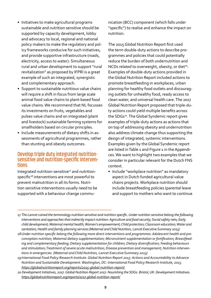- Initiatives to make agricultural programs sustainable and nutrition sensitive should be supported by capacity development, lobby and advocacy to local, regional and national policy makers to make the regulatory and policy frameworks conducive for such initiatives, and provide supportive infrastructure (roads, electricity, access to water). Simultaneous rural and urban development to support "rural revitalization" as proposed by IFPRI is a great example of such an integrated, synergistic and complementary approach.
- Support to sustainable nutritious value chains will require a shift in focus from large scale animal food value chains to plant-based food value chains. We recommend that NL focusses its investments on fruits, vegetables and pulses value chains and on integrated (plant and livestock) sustainable farming systems for smallholders based on circular principles.
- Include measurements of dietary shifts in assessments of agricultural programmes, rather than stunting and obesity outcomes.

### Develop triple duty integrated nutritionsensitive and nutrition-specific interven- tions

Integrated nutrition-sensitive<sup>17</sup> and nutritionspecific<sup>18</sup> interventions are most powerful to prevent malnutrition in all its forms. Nutrition sensitive interventions usually need to be supported with a behaviour change commu-

*---------------------------------------------------------------------------------------------------------------------------------------------------*

nication (BCC) component (which falls under "specific") to realise and enhance the impact on nutrition.

The 2015 Global Nutrition Report first used the term double-duty actions to describe programmes and policies that could potentially reduce the burden of both undernutrition and NCDs related to overweight, obesity, or diet<sup>19</sup>. Examples of double-duty actions provided in the Global Nutrition Report included actions to promote breastfeeding in workplaces, urban planning for healthy food outlets and discouraging outlets for unhealthy food, ready access to clean water, and universal health care. The 2017 Global Nutrition Report proposed that triple-duty actions could yield multiple benefits across the SDGs<sup>20</sup>. The Global Syndemic report gives examples of triple-duty actions as actions that on top of addressing obesity and undernutrition also address climate change thus supporting the design of integrated, systemic interventions. Examples given by the Global Syndemic report are listed in Table 1 and Figure 1 in the Appendices. We want to highlight two examples that we consider in particular relevant for the Dutch FNS context.

• Include "workplace nutrition" as mandatory aspect in Dutch funded agricultural value chains projects. Workplace nutrition should include breastfeeding policies (parental leave and support to mothers who want to continue

*<sup>17</sup> The Lancet coined the terminology nutrition sensitive and nutrition specific. Under nutrition sensitive belong the following interventions and approaches that indirectly impact nutrition: Agriculture and food security; Social safety nets; Early child development; Maternal mental health; Women's empowerment; Child protection; Classroom education; Water and sanitation; Health and family planning services (Maternal and Child Nutrition, Lancet Executive Summary 2013)*

*<sup>18</sup>Under nutrition specific belong the following more direct interventions and programmes: Adolescent health and preconception nutrition; Maternal dietary supplementation; Micronutrient supplementation or fortification; Breastfeeding and complementary feeding; Dietary supplementation for children; Dietary diversification; Feeding behaviours and stimulation; Treatment of severe acute malnutrition; Disease prevention and management; Nutrition interventions in emergencies. (Maternal and Child Nutrition, Lancet Executive Summary 2013)*

*<sup>19</sup>International Food Policy Research Institute. Global Nutrition Report 2015: Actions and Accountability to Advance Nutrition and Sustainable Development. Washington, DC: International Food Policy Research Institute, 2015. <https://globalnutritionreport.org/reports/2015-global-nutrition-report/>*

*<sup>20</sup> Development Initiatives, 2017. Global Nutrition Report 2017: Nourishing the SDGs. Bristol, UK: Development Initiatives. <https://globalnutritionreport.org/reports/2017-global-nutrition-report/>*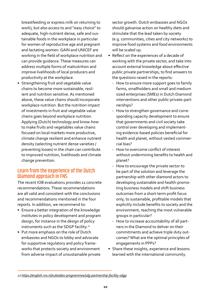breastfeeding or express milk on returning to work), but also access to and "easy choice" to adequate, high-nutrient dense, safe and sustainable foods in the workplace in particular for women of reproductive age and pregnant and lactating women. GAIN and UNICEF are working in the field of workplace nutrition and can provide guidance. These measures can address multiple forms of malnutrition and improve livelihoods of local producers and productivity at the workplace.

• Strengthening fruit and vegetable value chains to become more sustainable, resilient and nutrition sensitive. As mentioned above, these value chains should incorporate workplace nutrition. But the nutrition impact of investments in fruit and vegetable value chains goes beyond workplace nutrition. Applying (Dutch) technology and know-how to make fruits and vegetables value chains focused on local markets more productive, climate change resilient and enhance nutrient density (selecting nutrient dense varieties / preventing losses) in the chain can contribute to improved nutrition, livelihoods and climate change prevention.

#### Learn from the experience of the Dutch Diamond approach in FNS

The recent IOB evaluation1 provides 11 concrete recommendations. These recommendations are all valid and consistent with the conclusions and recommendations mentioned in the four reports. In addition, we recommend to:

- Ensure a better integration of the knowledge institutes in policy development and program design, for instance in the design of policy instruments such as the SDGP facility.<sup>21</sup>
- Put more emphasis on the role of Dutch embassies and NGOs to lobby and advocate for supportive regulatory and policy frameworks that protects society and environment from adverse impact of unsustainable private

sector growth. Dutch embassies and NGOs should galvanise action on healthy diets and stimulate that the lead taken by society (e.g. communities, cities and city networks) to improve food systems and food environments will be scaled up.

- Reflect on the experiences of a decade of working with the private sector, and take into account external knowledge about effective public private partnerships, to find answers to the questions raised in the reports:
	- How to ensure more support goes to family farms, smallholders and small and medium sized enterprises (SMEs) in Dutch Diamond interventions and other public-private-partnerships?
	- How to strengthen governance and corresponding capacity development to ensure that governments and civil society take control over developing and implementing evidence-based policies beneficial for health and planet, without vested commercial bias?
	- How to overcome conflict of interest without undermining benefits to health and planet?
	- How to encourage the private sector to be part of the solution and leverage the partnership with other diamond actors to developing sustainable and health-promoting business models and shift business outcomes from a short-term profit focus only, to sustainable, profitable models that explicitly include benefits to society and the environment, reaching the most vulnerable groups in particular?
	- How to increase accountability of all partners in the Diamond to deliver on their commitments and achieve triple duty outcomes? What are the optimal principles of engagements in PPPs?
- Share these insights, experience and lessons learned with the international community.

*<sup>21</sup><https://english.rvo.nl/subsidies-programmes/sdg-partnership-facility-sdgp>*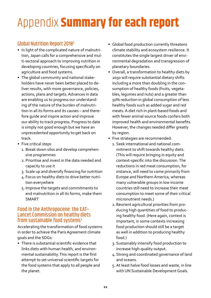## Appendix **Summary for each report**

### Global Nutrition Report 20182

- In light of the complicated nature of malnutrition, Japan calls for a comprehensive and multi-sectoral approach to improving nutrition in developing countries, focusing specifically on agriculture and food systems.
- The global community and national stakeholders have never been better placed to deliver results, with more governance, policies, actions, plans and targets. Advances in data are enabling us to progress our understanding of the nature of the burden of malnutrition in all its forms and its causes – and therefore guide and inspire action and improve our ability to track progress. Progress to date is simply not good enough but we have an unprecedented opportunity to get back on track.
- Five critical steps
	- 1. Break down silos and develop comprehensive programmes
	- 2. Prioritise and invest in the data needed and capacity to use it
	- 3. Scale up and diversify financing for nutrition
	- 4. Focus on healthy diets to drive better nutrition everywhere
	- 5. Improve the targets and commitments to end malnutrition in all its forms, make them SMART

#### Food in the Anthropocene: the EAT– Lancet Commission on healthy diets from sustainable food systems $3$

Accelerating the transformation of food systems in order to achieve the Paris Agreement climate goals and the SDGs:

• There is substantial scientific evidence that links diets with human health, and environmental sustainability. This report is the first attempt to set universal scientific targets for the food systems that apply to all people and the planet.

- Global food production currently threatens climate stability and ecosystem resilience. It constitutes the single largest driver of environmental degradation and transgression of planetary boundaries.
- Overall, a transformation to healthy diets by 2050 will require substantial dietary shifts including a more than doubling in the consumption of healthy foods (fruits, vegetables, legumes and nuts) and a greater than 50% reduction in global consumption of less healthy foods such as added sugar and red meats. A diet rich in plant-based foods and with fewer animal source foods confers both improved health and environmental benefits. However, the changes needed differ greatly by region.
- Five strategies are recommended:
	- 1. Seek international and national commitment to shift towards healthy diets. (This will require bringing in equity and context-specific into the discussion. The reductions in red meat consumption, for instance, will need to come primarily from Europe and Northern America, whereas many vulnerable groups in low income countries still need to increase their meat consumption to meet some of their critical micronutrient needs.)
	- 2. Reorient agricultural priorities from producing high quantities of food to producing healthy food. (Here again, context is important, in some contexts increasing food production should still be a target as well in addition to producing healthy food.)
	- 3. Sustainably intensify food production to increase high-quality output.
	- 4. Strong and coordinated governance of land and oceans.
	- 5. At least halve food losses and waste, in line with UN Sustainable Development Goals.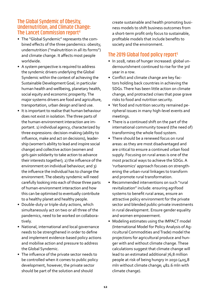#### The Global Syndemic of Obesity, Undernutrition, and Climate Change: The Lancet Commission report<sup>4</sup>

- The "Global Syndemic" represents the combined effects of the three pandemics: obesity, undernutrition ("malnutrition in all its forms") and climate change. It affects most people worldwide.
- A system perspective is required to address the syndemic drivers underlying the Global Syndemic within the context of achieving the Sustainable Development Goal, in particular human health and wellbeing, planetary health, social equity and economic prosperity. The major systems drivers are food and agriculture, transportation, urban design and land use.
- It is important to realise that human behaviour does not exist in isolation. The three parts of the human-environment interaction are important. 1) individual agency, characterized by three expressions: decision-making (ability to influence, make and act on decisions), leadership (women's ability to lead and inspire social change) and collective action (women and girls gain solidarity to take action to advance their interests together); 2) the influence of the environment on individual behaviour; and 3) the influence the individual has to change the environment. The obesity syndemic will need carefully looking into each of those three parts of human-environment interaction and how this can be optimised to eventually contribute to a healthy planet and healthy people.
- Double-duty or triple-duty actions, which simultaneously act on two or all three of the pandemics, need to be worked on collaboratively.
- National, international and local governance needs to be strengthened in order to define and implement evidence-based policy actions and mobilise action and pressure to address the Global Syndemic.
- The influence of the private sector needs to be controlled when it comes to public policy development, however, the private sector should be part of the solution and should

create sustainable and health promoting business models to shift business outcomes from a short-term profit only focus to sustainable, profitable models that include benefits to society and the environment.

#### The 2019 Global food policy report<sup>5</sup>

- In 2018, rates of hunger increased: global undernourishment continued to rise for the 3rd year in a row.
- Conflict and climate change are key factors holding back countries in achieving the SDGs. There has been little action on climate change, and protracted crises that pose grave risks to food and nutrition security.
- Yet food and nutrition security remained peripheral issues in many high-level events and meetings.
- There is a continued shift on the part of the international community toward (the need of) transforming the whole food system.
- There should be a renewed focus on rural areas: as they are most disadvantaged and are critical to ensure a continued urban food supply. Focusing on rural areas is one of the most practical ways to achieve the SDGs. A 'rurbanomics' approach focuses on strengthening the urban-rural linkages to transform and promote rural transformation.
- Recommended interventions on such "rural revitalization" include: ensuring agrifood systems to benefit rural areas, ensure an attractive policy environment for the private sector and blended public-private investments in rural development. Ensure gender equality and women empowerment.
- Modeling estimates using the IMPACT model (International Model for Policy Analysis of Agricultural Commodities and Trade) model the projections for agricultural produce and hunger with and without climate change. These calculations suggest that climate change will lead to an estimated additional 76,8 million people at risk of being hungry in 2050 (405,8 mln without climate change; 482.6 mln with climate change).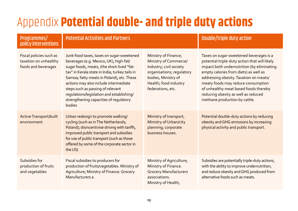### Appendix **Potential double- and triple duty actions**

#### Programmes/ policy interventions

|  | Potential Activities and Partners |  |  |  |  |  |  |  |  |
|--|-----------------------------------|--|--|--|--|--|--|--|--|
|  |                                   |  |  |  |  |  |  |  |  |

| taxes, taxes on sugar-sweetened     | Ministry of Finance;      |
|-------------------------------------|---------------------------|
| (e.g. Mexico, UK), high-fat/        | Ministry of Commerce/     |
| ls, meats, (the short-lived "fat-   | Industry; civil society   |
| ala state in India; turkey tails in | organisations, regulatory |
| tty meats in Poland), etc. These    | bodies, Ministry of       |
| ay also include intermediate        | Health; food industry     |

### Double/triple duty action

| Fiscal policies such as<br>taxation on unhealthy<br>foods and beverages | Junk-food taxes, taxes on sugar-sweetened<br>beverages (e.g. Mexico, UK), high-fat/<br>sugar foods, meats, (the short-lived "fat-<br>tax" in Kerala state in India; turkey tails in<br>Samoa; fatty meats in Poland), etc. These<br>actions may also include intermediate<br>steps such as passing of relevant<br>regulations/legislation and establishing/<br>strengthening capacities of regulatory<br>bodies | Ministry of Finance;<br>Ministry of Commerce/<br>Industry; civil society<br>organisations; regulatory<br>bodies, Ministry of<br>Health; food industry<br>federations, etc. | Taxes on sugar-sweetened beverages is a<br>potential triple-duty action that will likely<br>impact both undernutrition (by eliminating<br>empty calories from diets) as well as<br>addressing obesity. Taxation on meats/<br>meaty foods may reduce consumption<br>of unhealthy meat based foods thereby<br>reducing obesity as well as reduced<br>methane production by cattle. |
|-------------------------------------------------------------------------|-----------------------------------------------------------------------------------------------------------------------------------------------------------------------------------------------------------------------------------------------------------------------------------------------------------------------------------------------------------------------------------------------------------------|----------------------------------------------------------------------------------------------------------------------------------------------------------------------------|----------------------------------------------------------------------------------------------------------------------------------------------------------------------------------------------------------------------------------------------------------------------------------------------------------------------------------------------------------------------------------|
| <b>Active Transport/built</b><br>environment                            | Urban redesign to promote walking/<br>cycling (such as in The Netherlands;<br>Poland); disincentivise driving with tariffs,<br>improved public transport and subsidies<br>for use of public transport (such as those<br>offered by some of the corporate sector in<br>the US)                                                                                                                                   | Ministry of transport,<br>Ministry of Urban/city<br>planning; corporate<br>business houses.                                                                                | Potential double-duty actions by reducing<br>obesity and GHG emissions by increasing<br>physical activity and public transport.                                                                                                                                                                                                                                                  |
| Subsidies for<br>production of fruits<br>and vegetables                 | Fiscal subsidies to producers for<br>production of fruits/vegetables. Ministry of<br>Agriculture; Ministry of Finance. Grocery<br>Manufacturers a                                                                                                                                                                                                                                                               | Ministry of Agriculture;<br>Ministry of Finance.<br><b>Grocery Manufacturers</b><br>associations.<br>Ministry of Health,                                                   | Subsidies are potentially triple-duty actions,<br>with the ability to improve undernutrition,<br>and reduce obesity and GHG produced from<br>alternative foods such as meats.                                                                                                                                                                                                    |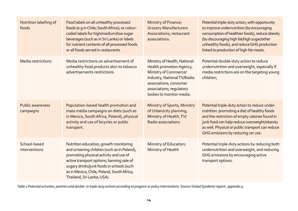| Nutrition labelling of<br>foods      | Food labels on all unhealthy processed<br>foods (e.g in Chile; South Africa); or colour-<br>coded labels for high/medium/low sugar<br>beverages (such as in Sri Lanka) or labels<br>for nutrient contents of all processed foods<br>or all foods served in restaurants                               | Ministry of Finance;<br><b>Grocery Manufacturers</b><br>Associations, restaurant<br>associations.                                                                                                  | Potential triple-duty action, with opportunity<br>to improve undernutrition (by encouraging<br>consumption of healthier foods), reduce obesity<br>(by discouraging high fat/high sugar/other<br>unhealthy foods), and reduce GHG production<br>linked to production of high-fat meats.    |
|--------------------------------------|------------------------------------------------------------------------------------------------------------------------------------------------------------------------------------------------------------------------------------------------------------------------------------------------------|----------------------------------------------------------------------------------------------------------------------------------------------------------------------------------------------------|-------------------------------------------------------------------------------------------------------------------------------------------------------------------------------------------------------------------------------------------------------------------------------------------|
| Media restrictions                   | Media restrictions on advertisement of<br>unhealthy food products akin to tobacco<br>advertisements restrictions                                                                                                                                                                                     | Ministry of Health, National<br>Health promotion Agency,<br>Ministry of Commerce/<br>Industry, National TV/Radio<br>associations, consumer<br>associations; regulatory<br>bodies to monitor media. | Potential double-duty action to reduce<br>undernutrition and overweight, especially if<br>media restrictions are on the targeting young<br>children;                                                                                                                                      |
| <b>Public awareness</b><br>campaigns | Population-based health promotion and<br>mass media campaigns on diets (such as<br>in Mexico, South Africa, Poland), physical<br>activity and use of bicycles or public<br>transport.                                                                                                                | <b>Ministry of Sports; Ministry</b><br>of Urban/city planning,<br>Ministry of Health, TV/<br>Radio associations                                                                                    | Potential triple-duty action to reduce under-<br>nutrition: promoting a diet of healthy foods<br>and the restriction of empty calories found in<br>junk food can help reduce overweight/obesity<br>as well. Physical or public transport can reduce<br>GHG emissions by reducing car use. |
| School-based<br>interventions        | Nutrition education, growth monitoring<br>and screening children (such as in Poland),<br>promoting physical activity and use of<br>active transport options; banning sale of<br>sugary drinks/junk foods in schools (such<br>as in Mexico, Chile, Poland, South Africa,<br>Thailand, Sri Lanka, USA) | Ministry of Education;<br>Ministry of Health                                                                                                                                                       | Potential triple-duty actions by reducing both<br>undernutrition and overweight, and reducing<br>GHG emissions by encouraging active<br>transport options.                                                                                                                                |

*Table 1 Potential activities, partners and double- or triple-duty actions according to program or policy interventions. Source: Global Syndemic report3 , appendix 4.*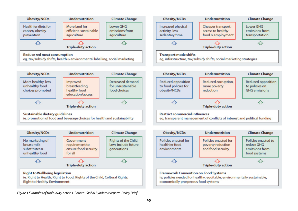

*Figure 1 Examples of triple-duty actions. Source: Global Syndemic report3 , Policy Brief.*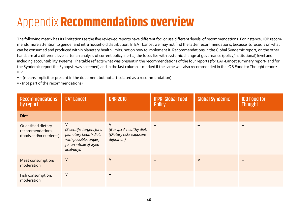### Appendix **Recommendations overview**

The following matrix has its limitations as the five reviewed reports have different foci or use different 'levels' of recommendations. For instance, IOB recommends more attention to gender and intra household distribution. In EAT Lancet we may not find the latter recommendations, because its focus is on what can be consumed and produced within planetary health limits, not on how to implement it. Recommendations in the Global Syndemic report, on the other hand, are at a different level: after an analysis of current policy inertia, the focus lies with systemic change at governance (policy/institutional) level and including accountability systems. The table reflects what was present in the recommendations of the four reports (for EAT-Lancet summary report- and for the Syndemic report the Synopsis was screened) and in the last column is marked if the same was also recommended in the IOB Food for Thought report: • V

- + (means implicit or present in the document but not articulated as a recommendation)
- - (not part of the recommendations)

| <b>Recommendations</b><br>by report:                              | <b>EAT-Lancet</b>                                                                                                             | <b>GNR 2018</b>                                                         | <b>IFPRI Global Food</b><br><b>Policy</b> | <b>Global Syndemic</b> | <b>IOB Food for</b><br><b>Thought</b> |
|-------------------------------------------------------------------|-------------------------------------------------------------------------------------------------------------------------------|-------------------------------------------------------------------------|-------------------------------------------|------------------------|---------------------------------------|
| <b>Diet</b>                                                       |                                                                                                                               |                                                                         |                                           |                        |                                       |
| Quantified dietary<br>recommendations<br>(foods and/or nutrients) | $\vee$<br>(Scientific targets for a<br>planetary health diet,<br>with possible ranges,<br>for an intake of 2500<br>kcal/dayi) | V<br>(Box 4.1 A healthy diet)<br>(Dietary risks exposure<br>definition) |                                           |                        |                                       |
| Meat consumption:<br>moderation                                   | V                                                                                                                             | V                                                                       |                                           | V                      |                                       |
| Fish consumption:<br>moderation                                   | V                                                                                                                             |                                                                         |                                           |                        |                                       |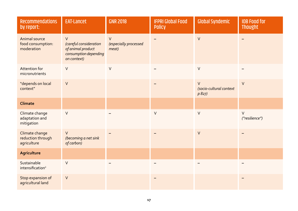| <b>Recommendations</b><br>by report:               | <b>EAT-Lancet</b>                                                                             | <b>GNR 2018</b>                          | <b>IFPRI Global Food</b><br><b>Policy</b> | <b>Global Syndemic</b>                     | <b>IOB Food for</b><br><b>Thought</b> |
|----------------------------------------------------|-----------------------------------------------------------------------------------------------|------------------------------------------|-------------------------------------------|--------------------------------------------|---------------------------------------|
| Animal source<br>food consumption:<br>moderation   | $\vee$<br>(careful consideration<br>of animal product<br>consumption depending<br>on context) | $\vee$<br>(especially processed<br>meat) |                                           | $\vee$                                     |                                       |
| <b>Attention for</b><br>micronutrients             | $\vee$                                                                                        | $\vee$                                   |                                           | $\vee$                                     |                                       |
| "depends on local<br>context"                      | $\vee$                                                                                        |                                          |                                           | $\vee$<br>(socio-cultural context<br>p827) | $\vee$                                |
| Climate                                            |                                                                                               |                                          |                                           |                                            |                                       |
| Climate change<br>adaptation and<br>mitigation     | $\vee$                                                                                        |                                          | $\vee$                                    | $\vee$                                     | $\vee$<br>("resilience")              |
| Climate change<br>reduction through<br>agriculture | $\vee$<br>(becoming a net sink<br>of carbon)                                                  |                                          |                                           | $\vee$                                     |                                       |
| <b>Agriculture</b>                                 |                                                                                               |                                          |                                           |                                            |                                       |
| Sustainable<br>intensification <sup>ii</sup>       | $\vee$                                                                                        |                                          |                                           |                                            |                                       |
| Stop expansion of<br>agricultural land             | $\vee$                                                                                        |                                          |                                           |                                            |                                       |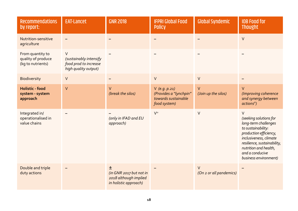| <b>Recommendations</b><br>by report:                        | <b>EAT-Lancet</b>                                                                 | <b>GNR 2018</b>                                                                | <b>IFPRI Global Food</b><br><b>Policy</b>                                           | <b>Global Syndemic</b>            | <b>IOB Food for</b><br><b>Thought</b>                                                                                                                                                                                                  |
|-------------------------------------------------------------|-----------------------------------------------------------------------------------|--------------------------------------------------------------------------------|-------------------------------------------------------------------------------------|-----------------------------------|----------------------------------------------------------------------------------------------------------------------------------------------------------------------------------------------------------------------------------------|
| Nutrition-sensitive<br>agriculture                          |                                                                                   |                                                                                |                                                                                     |                                   | $\vee$                                                                                                                                                                                                                                 |
| From quantity to<br>quality of produce<br>(kg to nutrients) | $\vee$<br>(sustainably intensify<br>food prod to increase<br>high quality output) |                                                                                |                                                                                     |                                   |                                                                                                                                                                                                                                        |
| <b>Biodiversity</b>                                         | $\vee$                                                                            |                                                                                | $\vee$                                                                              | $\vee$                            |                                                                                                                                                                                                                                        |
| <b>Holistic - food</b><br>system - system<br>approach       | $\vee$                                                                            | V<br>(break the silos)                                                         | $V$ (e.g. $p.21$ )<br>(Provides a "lynchpin"<br>towards sustainable<br>food system) | V<br>(Join up the silos)          | $\vee$<br>(Improving coherence<br>and synergy between<br>actionsiii)                                                                                                                                                                   |
| Integrated in/<br>operationalised in<br>value chains        |                                                                                   | (only in IFAD and EU<br>approach)                                              | $V^{iv}$                                                                            | $\vee$                            | $\vee$<br>(seeking solutions for<br>long-term challenges<br>to sustainability:<br>production efficiency,<br>inclusiveness, climate<br>resilience, sustainability,<br>nutrition and health,<br>and a conducive<br>business environment) |
| Double and triple<br>duty actions                           |                                                                                   | 土<br>(in GNR 2017 but not in<br>2018 although implied<br>in holistic approach) |                                                                                     | $\vee$<br>(On 2 or all pandemics) |                                                                                                                                                                                                                                        |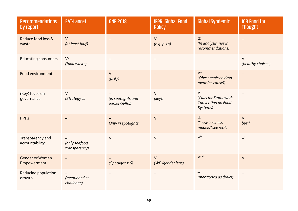| <b>Recommendations</b><br>by report:  | <b>EAT-Lancet</b>              | <b>GNR 2018</b>                     | <b>IFPRI Global Food</b><br><b>Policy</b> | <b>Global Syndemic</b>                                           | <b>IOB Food for</b><br><b>Thought</b> |
|---------------------------------------|--------------------------------|-------------------------------------|-------------------------------------------|------------------------------------------------------------------|---------------------------------------|
| Reduce food loss &<br>waste           | $\vee$<br>(at least half)      |                                     | $\vee$<br>(e.g. p. 20)                    | 土<br>(In analysis, not in<br>recommendations)                    |                                       |
| <b>Educating consumers</b>            | V'<br>(food waste)             |                                     |                                           |                                                                  | $\vee$<br>(healthy choices)           |
| Food environment                      |                                | $\vee$<br>(p. 67)                   |                                           | V <sup>vi</sup><br>(Obesogenic environ-<br>ment (as cause))      |                                       |
| (Key) focus on<br>governance          | V<br>(Strategy 4)              | (in spotlights and<br>earlier GNRs) | $\vee$<br>(key!)                          | $\vee$<br>(Calls for Framework<br>Convention on Food<br>Systems) |                                       |
| <b>PPPs</b>                           |                                | Only in spotlights                  | $\vee$                                    | 土<br>("new business<br>models" see recvii)                       | $\vee$<br>but                         |
| Transparency and<br>accountability    | (only seafood<br>transparency) | $\vee$                              | $\vee$                                    | $V^{ix}$                                                         | $\Box^0$                              |
| <b>Gender or Women</b><br>Empowerment |                                | (Spotlight 5.6)                     | $\vee$<br>(WE /gender lens)               | $V^{xxi}$                                                        | $\vee$                                |
| Reducing population<br>growth         | (mentioned as<br>challenge)    |                                     |                                           | (mentioned as driver)                                            |                                       |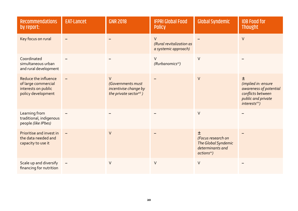| <b>Recommendations</b><br>by report:                                                     | <b>EAT-Lancet</b> | <b>GNR 2018</b>                                                                 | <b>IFPRI Global Food</b><br><b>Policy</b>                  | <b>Global Syndemic</b>                                                                        | <b>IOB Food for</b><br><b>Thought</b>                                                                                       |
|------------------------------------------------------------------------------------------|-------------------|---------------------------------------------------------------------------------|------------------------------------------------------------|-----------------------------------------------------------------------------------------------|-----------------------------------------------------------------------------------------------------------------------------|
| Key focus on rural                                                                       |                   |                                                                                 | $\vee$<br>(Rural revitalization as<br>a systemic approach) |                                                                                               | $\vee$                                                                                                                      |
| Coordinated<br>simultaneous urban<br>and rural development                               |                   |                                                                                 | $\vee$<br>(Rurbanomics <sup>xii</sup> )                    | $\vee$                                                                                        |                                                                                                                             |
| Reduce the influence<br>of large commercial<br>interests on public<br>policy development |                   | $\vee$<br>(Governments must<br>incentivise change by<br>the private sectorxiii) |                                                            | $\vee$                                                                                        | 土<br>(implied in: ensure<br>awareness of potential<br>conflicts between<br>public and private<br>interests <sup>xiv</sup> ) |
| Learning from<br>traditional, indigenous<br>people (like IPbes)                          |                   |                                                                                 |                                                            | $\vee$                                                                                        |                                                                                                                             |
| Prioritise and invest in<br>the data needed and<br>capacity to use it                    |                   | $\vee$                                                                          |                                                            | 土<br>(Focus research on<br>The Global Syndemic<br>determinants and<br>actions <sup>xv</sup> ) |                                                                                                                             |
| Scale up and diversify<br>financing for nutrition                                        |                   | $\vee$                                                                          | $\vee$                                                     | $\vee$                                                                                        |                                                                                                                             |